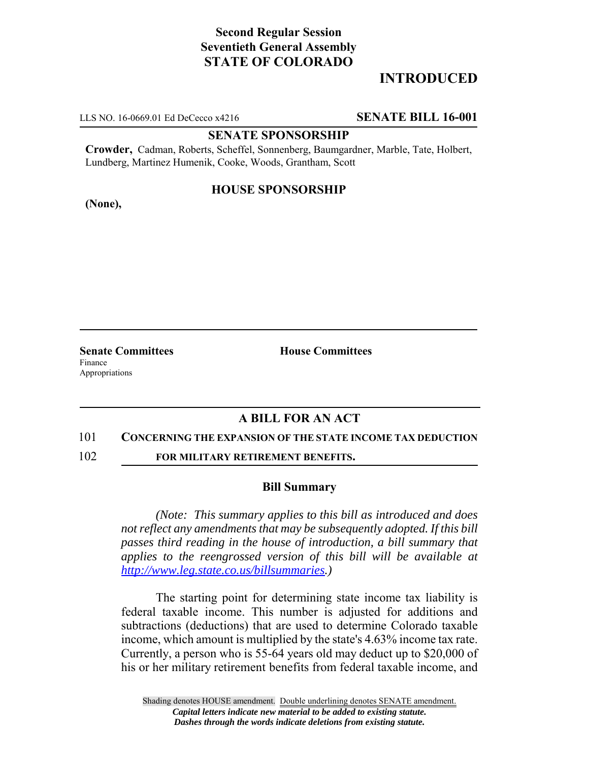# **Second Regular Session Seventieth General Assembly STATE OF COLORADO**

## **INTRODUCED**

LLS NO. 16-0669.01 Ed DeCecco x4216 **SENATE BILL 16-001**

### **SENATE SPONSORSHIP**

**Crowder,** Cadman, Roberts, Scheffel, Sonnenberg, Baumgardner, Marble, Tate, Holbert, Lundberg, Martinez Humenik, Cooke, Woods, Grantham, Scott

### **HOUSE SPONSORSHIP**

**(None),**

Finance Appropriations

**Senate Committees House Committees** 

## **A BILL FOR AN ACT**

#### 101 **CONCERNING THE EXPANSION OF THE STATE INCOME TAX DEDUCTION**

102 **FOR MILITARY RETIREMENT BENEFITS.**

#### **Bill Summary**

*(Note: This summary applies to this bill as introduced and does not reflect any amendments that may be subsequently adopted. If this bill passes third reading in the house of introduction, a bill summary that applies to the reengrossed version of this bill will be available at http://www.leg.state.co.us/billsummaries.)*

The starting point for determining state income tax liability is federal taxable income. This number is adjusted for additions and subtractions (deductions) that are used to determine Colorado taxable income, which amount is multiplied by the state's 4.63% income tax rate. Currently, a person who is 55-64 years old may deduct up to \$20,000 of his or her military retirement benefits from federal taxable income, and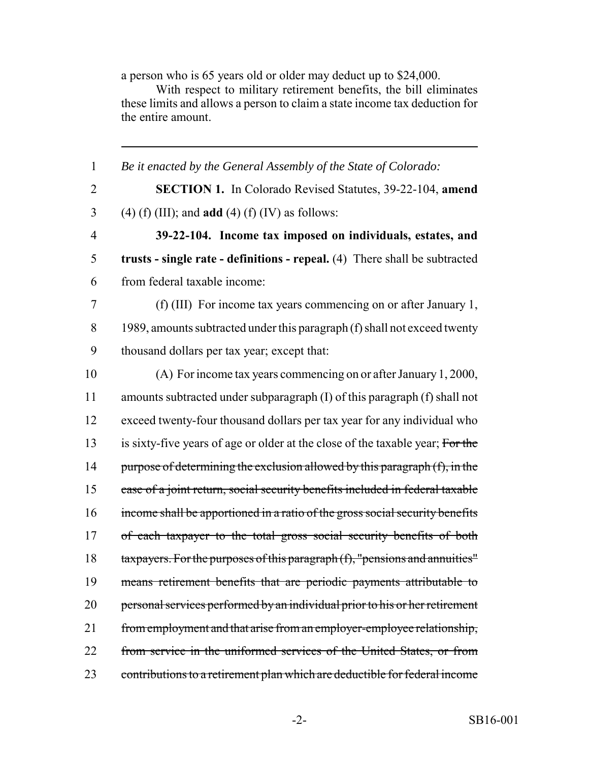a person who is 65 years old or older may deduct up to \$24,000.

With respect to military retirement benefits, the bill eliminates these limits and allows a person to claim a state income tax deduction for the entire amount.

 *Be it enacted by the General Assembly of the State of Colorado:* **SECTION 1.** In Colorado Revised Statutes, 39-22-104, **amend** (4) (f) (III); and **add** (4) (f) (IV) as follows: **39-22-104. Income tax imposed on individuals, estates, and trusts - single rate - definitions - repeal.** (4) There shall be subtracted from federal taxable income: (f) (III) For income tax years commencing on or after January 1, 8 1989, amounts subtracted under this paragraph (f) shall not exceed twenty thousand dollars per tax year; except that: (A) For income tax years commencing on or after January 1, 2000, amounts subtracted under subparagraph (I) of this paragraph (f) shall not exceed twenty-four thousand dollars per tax year for any individual who 13 is sixty-five years of age or older at the close of the taxable year; For the 14 purpose of determining the exclusion allowed by this paragraph (f), in the case of a joint return, social security benefits included in federal taxable income shall be apportioned in a ratio of the gross social security benefits 17 of each taxpayer to the total gross social security benefits of both taxpayers. For the purposes of this paragraph (f), "pensions and annuities" means retirement benefits that are periodic payments attributable to 20 personal services performed by an individual prior to his or her retirement 21 from employment and that arise from an employer-employee relationship, from service in the uniformed services of the United States, or from contributions to a retirement plan which are deductible for federal income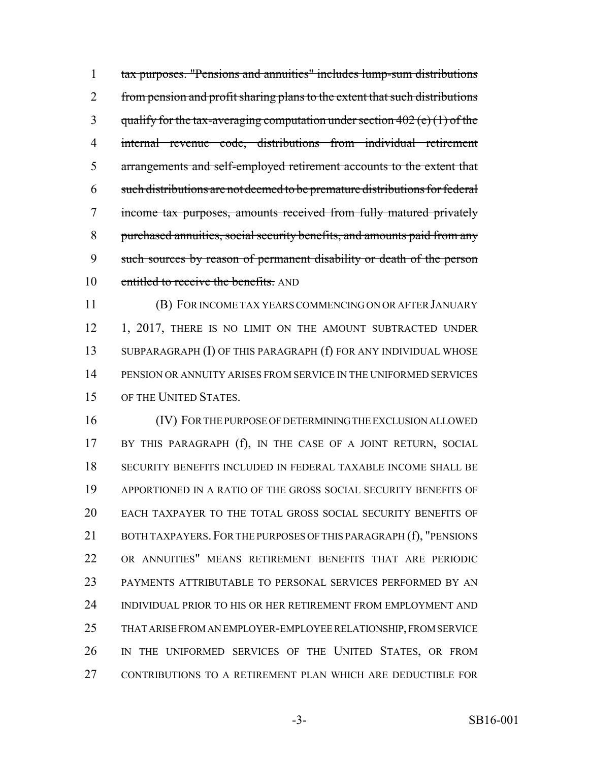tax purposes. "Pensions and annuities" includes lump-sum distributions 2 from pension and profit sharing plans to the extent that such distributions 3 qualify for the tax-averaging computation under section (e) (1) of the internal revenue code, distributions from individual retirement arrangements and self-employed retirement accounts to the extent that such distributions are not deemed to be premature distributions for federal income tax purposes, amounts received from fully matured privately purchased annuities, social security benefits, and amounts paid from any such sources by reason of permanent disability or death of the person 10 entitled to receive the benefits. AND

 (B) FOR INCOME TAX YEARS COMMENCING ON OR AFTER JANUARY 12 1, 2017, THERE IS NO LIMIT ON THE AMOUNT SUBTRACTED UNDER SUBPARAGRAPH (I) OF THIS PARAGRAPH (f) FOR ANY INDIVIDUAL WHOSE PENSION OR ANNUITY ARISES FROM SERVICE IN THE UNIFORMED SERVICES OF THE UNITED STATES.

 (IV) FOR THE PURPOSE OF DETERMINING THE EXCLUSION ALLOWED BY THIS PARAGRAPH (f), IN THE CASE OF A JOINT RETURN, SOCIAL SECURITY BENEFITS INCLUDED IN FEDERAL TAXABLE INCOME SHALL BE APPORTIONED IN A RATIO OF THE GROSS SOCIAL SECURITY BENEFITS OF EACH TAXPAYER TO THE TOTAL GROSS SOCIAL SECURITY BENEFITS OF 21 BOTH TAXPAYERS. FOR THE PURPOSES OF THIS PARAGRAPH (f), "PENSIONS OR ANNUITIES" MEANS RETIREMENT BENEFITS THAT ARE PERIODIC PAYMENTS ATTRIBUTABLE TO PERSONAL SERVICES PERFORMED BY AN INDIVIDUAL PRIOR TO HIS OR HER RETIREMENT FROM EMPLOYMENT AND THAT ARISE FROM AN EMPLOYER-EMPLOYEE RELATIONSHIP, FROM SERVICE IN THE UNIFORMED SERVICES OF THE UNITED STATES, OR FROM CONTRIBUTIONS TO A RETIREMENT PLAN WHICH ARE DEDUCTIBLE FOR